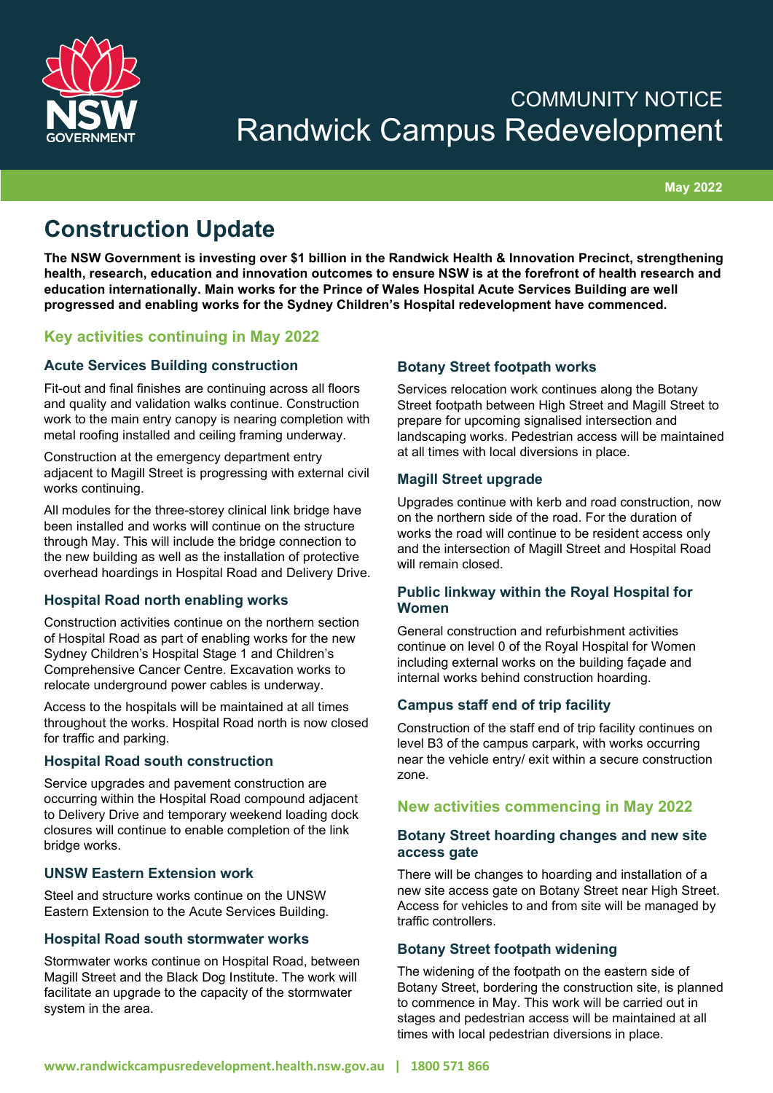

# COMMUNITY NOTICE Randwick Campus Redevelopment

**May 2022**

## **Construction Update**

**The NSW Government is investing over \$1 billion in the Randwick Health & Innovation Precinct, strengthening health, research, education and innovation outcomes to ensure NSW is at the forefront of health research and education internationally. Main works for the Prince of Wales Hospital Acute Services Building are well progressed and enabling works for the Sydney Children's Hospital redevelopment have commenced.**

## **Key activities continuing in May 2022**

## **Acute Services Building construction**

Fit-out and final finishes are continuing across all floors and quality and validation walks continue. Construction work to the main entry canopy is nearing completion with metal roofing installed and ceiling framing underway.

Construction at the emergency department entry adjacent to Magill Street is progressing with external civil works continuing.

All modules for the three-storey clinical link bridge have been installed and works will continue on the structure through May. This will include the bridge connection to the new building as well as the installation of protective overhead hoardings in Hospital Road and Delivery Drive.

#### **Hospital Road north enabling works**

Construction activities continue on the northern section of Hospital Road as part of enabling works for the new Sydney Children's Hospital Stage 1 and Children's Comprehensive Cancer Centre. Excavation works to relocate underground power cables is underway.

Access to the hospitals will be maintained at all times throughout the works. Hospital Road north is now closed for traffic and parking.

#### **Hospital Road south construction**

Service upgrades and pavement construction are occurring within the Hospital Road compound adjacent to Delivery Drive and temporary weekend loading dock closures will continue to enable completion of the link bridge works.

#### **UNSW Eastern Extension work**

Steel and structure works continue on the UNSW Eastern Extension to the Acute Services Building.

## **Hospital Road south stormwater works**

Stormwater works continue on Hospital Road, between Magill Street and the Black Dog Institute. The work will facilitate an upgrade to the capacity of the stormwater system in the area.

### **Botany Street footpath works**

Services relocation work continues along the Botany Street footpath between High Street and Magill Street to prepare for upcoming signalised intersection and landscaping works. Pedestrian access will be maintained at all times with local diversions in place.

#### **Magill Street upgrade**

Upgrades continue with kerb and road construction, now on the northern side of the road. For the duration of works the road will continue to be resident access only and the intersection of Magill Street and Hospital Road will remain closed.

#### **Public linkway within the Royal Hospital for Women**

General construction and refurbishment activities continue on level 0 of the Royal Hospital for Women including external works on the building façade and internal works behind construction hoarding.

#### **Campus staff end of trip facility**

Construction of the staff end of trip facility continues on level B3 of the campus carpark, with works occurring near the vehicle entry/ exit within a secure construction zone.

## **New activities commencing in May 2022**

#### **Botany Street hoarding changes and new site access gate**

There will be changes to hoarding and installation of a new site access gate on Botany Street near High Street. Access for vehicles to and from site will be managed by traffic controllers.

## **Botany Street footpath widening**

The widening of the footpath on the eastern side of Botany Street, bordering the construction site, is planned to commence in May. This work will be carried out in stages and pedestrian access will be maintained at all times with local pedestrian diversions in place.